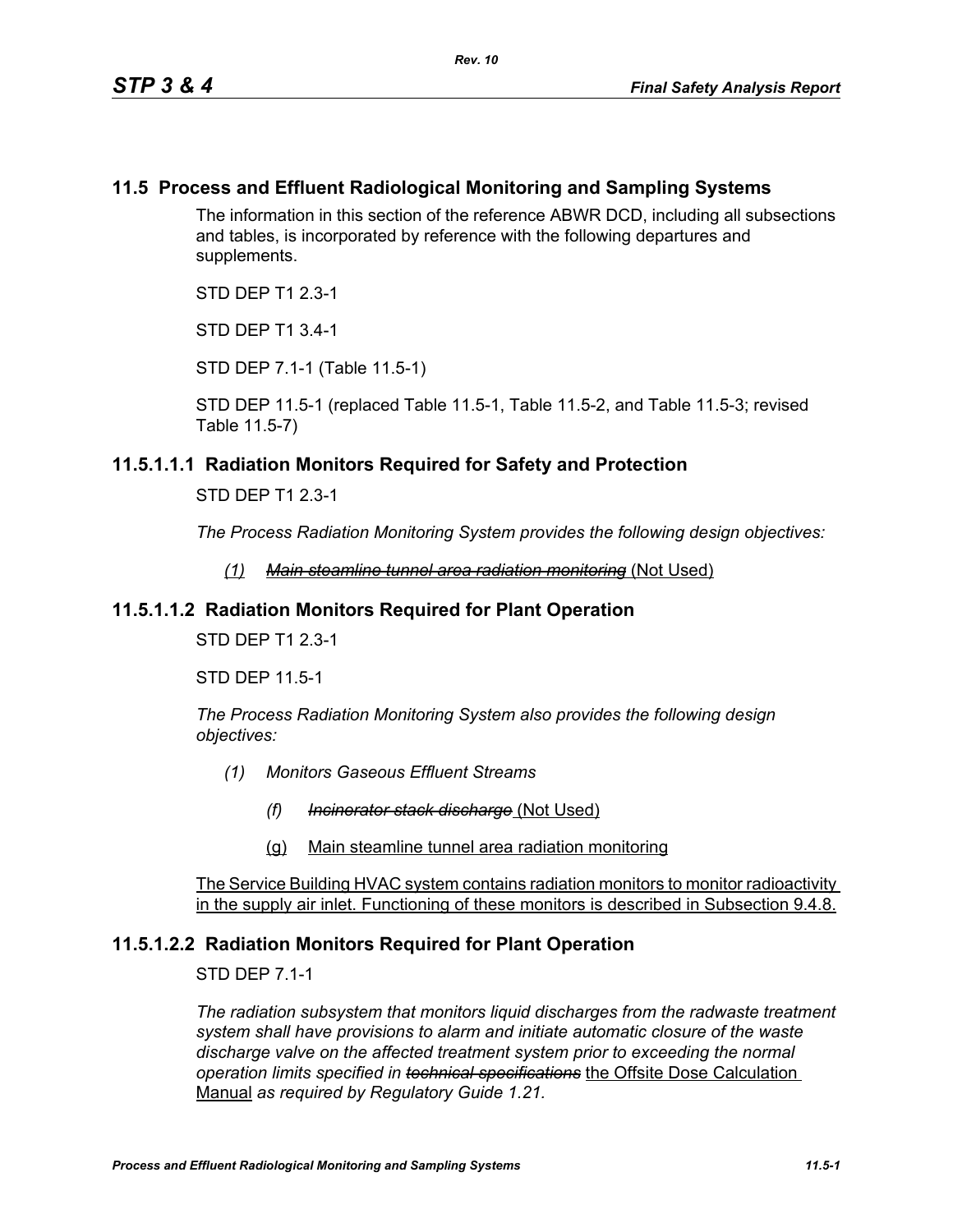## **11.5 Process and Effluent Radiological Monitoring and Sampling Systems**

The information in this section of the reference ABWR DCD, including all subsections and tables, is incorporated by reference with the following departures and supplements.

STD DEP T1 2.3-1

STD DEP T1 3.4-1

STD DEP 7.1-1 (Table 11.5-1)

STD DEP 11.5-1 (replaced Table 11.5-1, Table 11.5-2, and Table 11.5-3; revised Table 11.5-7)

#### **11.5.1.1.1 Radiation Monitors Required for Safety and Protection**

STD DEP T1 2.3-1

*The Process Radiation Monitoring System provides the following design objectives:*

*(1) Main steamline tunnel area radiation monitoring* (Not Used)

#### **11.5.1.1.2 Radiation Monitors Required for Plant Operation**

STD DEP T1 2.3-1

STD DEP 11.5-1

*The Process Radiation Monitoring System also provides the following design objectives:*

- *(1) Monitors Gaseous Effluent Streams*
	- *(f) Incinerator stack discharge* (Not Used)
	- (g) Main steamline tunnel area radiation monitoring

The Service Building HVAC system contains radiation monitors to monitor radioactivity in the supply air inlet. Functioning of these monitors is described in Subsection 9.4.8.

#### **11.5.1.2.2 Radiation Monitors Required for Plant Operation**

STD DEP 7.1-1

*The radiation subsystem that monitors liquid discharges from the radwaste treatment system shall have provisions to alarm and initiate automatic closure of the waste discharge valve on the affected treatment system prior to exceeding the normal operation limits specified in technical specifications* the Offsite Dose Calculation Manual *as required by Regulatory Guide 1.21.*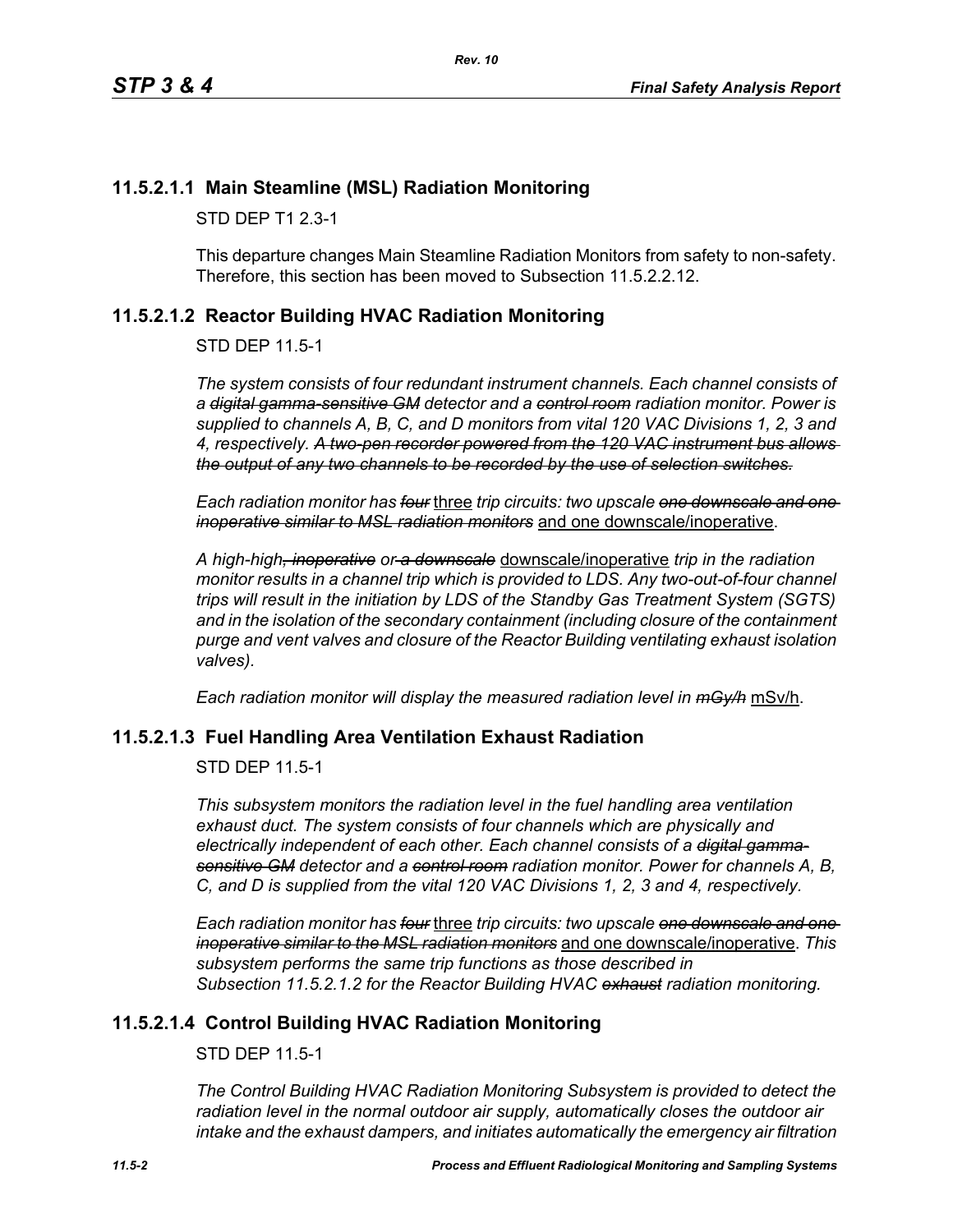## **11.5.2.1.1 Main Steamline (MSL) Radiation Monitoring**

STD DEP T1 2.3-1

This departure changes Main Steamline Radiation Monitors from safety to non-safety. Therefore, this section has been moved to Subsection 11.5.2.2.12.

## <span id="page-1-0"></span>**11.5.2.1.2 Reactor Building HVAC Radiation Monitoring**

STD DEP 11.5-1

*The system consists of four redundant instrument channels. Each channel consists of a digital gamma-sensitive GM detector and a control room radiation monitor. Power is supplied to channels A, B, C, and D monitors from vital 120 VAC Divisions 1, 2, 3 and 4, respectively. A two-pen recorder powered from the 120 VAC instrument bus allows the output of any two channels to be recorded by the use of selection switches.*

*Each radiation monitor has four* three *trip circuits: two upscale one downscale and one inoperative similar to MSL radiation monitors* and one downscale/inoperative.

*A high-high, inoperative or a downscale* downscale/inoperative *trip in the radiation monitor results in a channel trip which is provided to LDS. Any two-out-of-four channel trips will result in the initiation by LDS of the Standby Gas Treatment System (SGTS) and in the isolation of the secondary containment (including closure of the containment purge and vent valves and closure of the Reactor Building ventilating exhaust isolation valves).*

*Each radiation monitor will display the measured radiation level in mGy/h* mSv/h.

## **11.5.2.1.3 Fuel Handling Area Ventilation Exhaust Radiation**

STD DEP 11.5-1

*This subsystem monitors the radiation level in the fuel handling area ventilation exhaust duct. The system consists of four channels which are physically and electrically independent of each other. Each channel consists of a digital gammasensitive GM detector and a control room radiation monitor. Power for channels A, B, C, and D is supplied from the vital 120 VAC Divisions 1, 2, 3 and 4, respectively.*

*Each radiation monitor has four* three *trip circuits: two upscale one downscale and one inoperative similar to the MSL radiation monitors* and one downscale/inoperative. *This subsystem performs the same trip functions as those described in Subsection [11.5.2.1.2](#page-1-0) for the Reactor Building HVAC exhaust radiation monitoring.*

## **11.5.2.1.4 Control Building HVAC Radiation Monitoring**

STD DEP 11.5-1

*The Control Building HVAC Radiation Monitoring Subsystem is provided to detect the radiation level in the normal outdoor air supply, automatically closes the outdoor air intake and the exhaust dampers, and initiates automatically the emergency air filtration*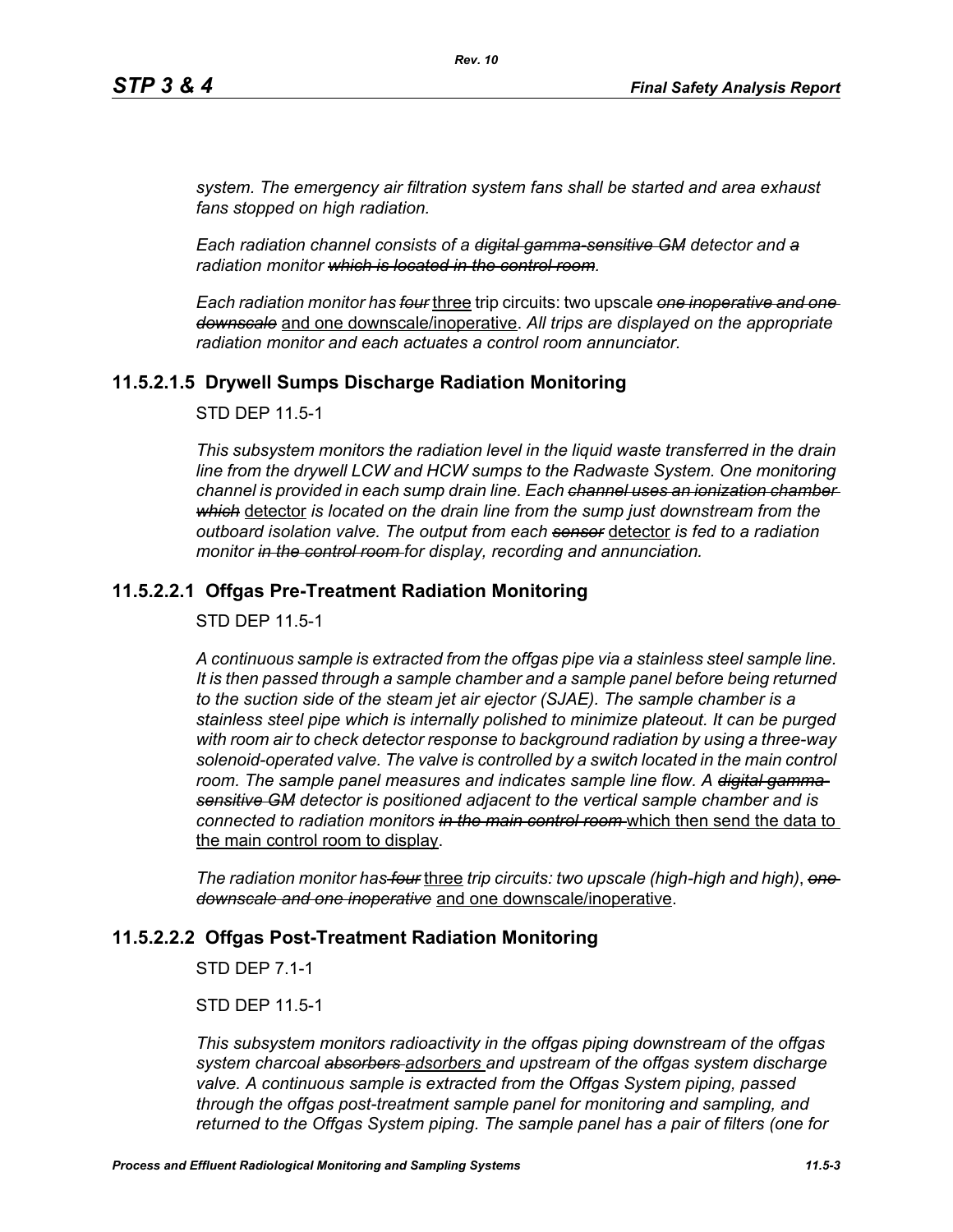*system. The emergency air filtration system fans shall be started and area exhaust fans stopped on high radiation.*

*Each radiation channel consists of a digital gamma-sensitive GM detector and a radiation monitor which is located in the control room.*

*Each radiation monitor has four* three trip circuits: two upscale *one inoperative and one downscale* and one downscale/inoperative. *All trips are displayed on the appropriate radiation monitor and each actuates a control room annunciator.*

## **11.5.2.1.5 Drywell Sumps Discharge Radiation Monitoring**

STD DEP 11.5-1

*This subsystem monitors the radiation level in the liquid waste transferred in the drain line from the drywell LCW and HCW sumps to the Radwaste System. One monitoring channel is provided in each sump drain line. Each channel uses an ionization chamber which* detector *is located on the drain line from the sump just downstream from the outboard isolation valve. The output from each sensor* detector *is fed to a radiation monitor in the control room for display, recording and annunciation.*

## **11.5.2.2.1 Offgas Pre-Treatment Radiation Monitoring**

STD DEP 11.5-1

*A continuous sample is extracted from the offgas pipe via a stainless steel sample line. It is then passed through a sample chamber and a sample panel before being returned to the suction side of the steam jet air ejector (SJAE). The sample chamber is a stainless steel pipe which is internally polished to minimize plateout. It can be purged with room air to check detector response to background radiation by using a three-way*  solenoid-operated valve. The valve is controlled by a switch located in the main control room. The sample panel measures and indicates sample line flow. A <del>digital gamma</del>*sensitive GM detector is positioned adjacent to the vertical sample chamber and is connected to radiation monitors in the main control room* which then send the data to the main control room to display.

*The radiation monitor has four* three *trip circuits: two upscale (high-high and high)*, *one downscale and one inoperative* and one downscale/inoperative.

## **11.5.2.2.2 Offgas Post-Treatment Radiation Monitoring**

STD DEP 7.1-1

STD DEP 11.5-1

*This subsystem monitors radioactivity in the offgas piping downstream of the offgas system charcoal absorbers adsorbers and upstream of the offgas system discharge valve. A continuous sample is extracted from the Offgas System piping, passed through the offgas post-treatment sample panel for monitoring and sampling, and returned to the Offgas System piping. The sample panel has a pair of filters (one for*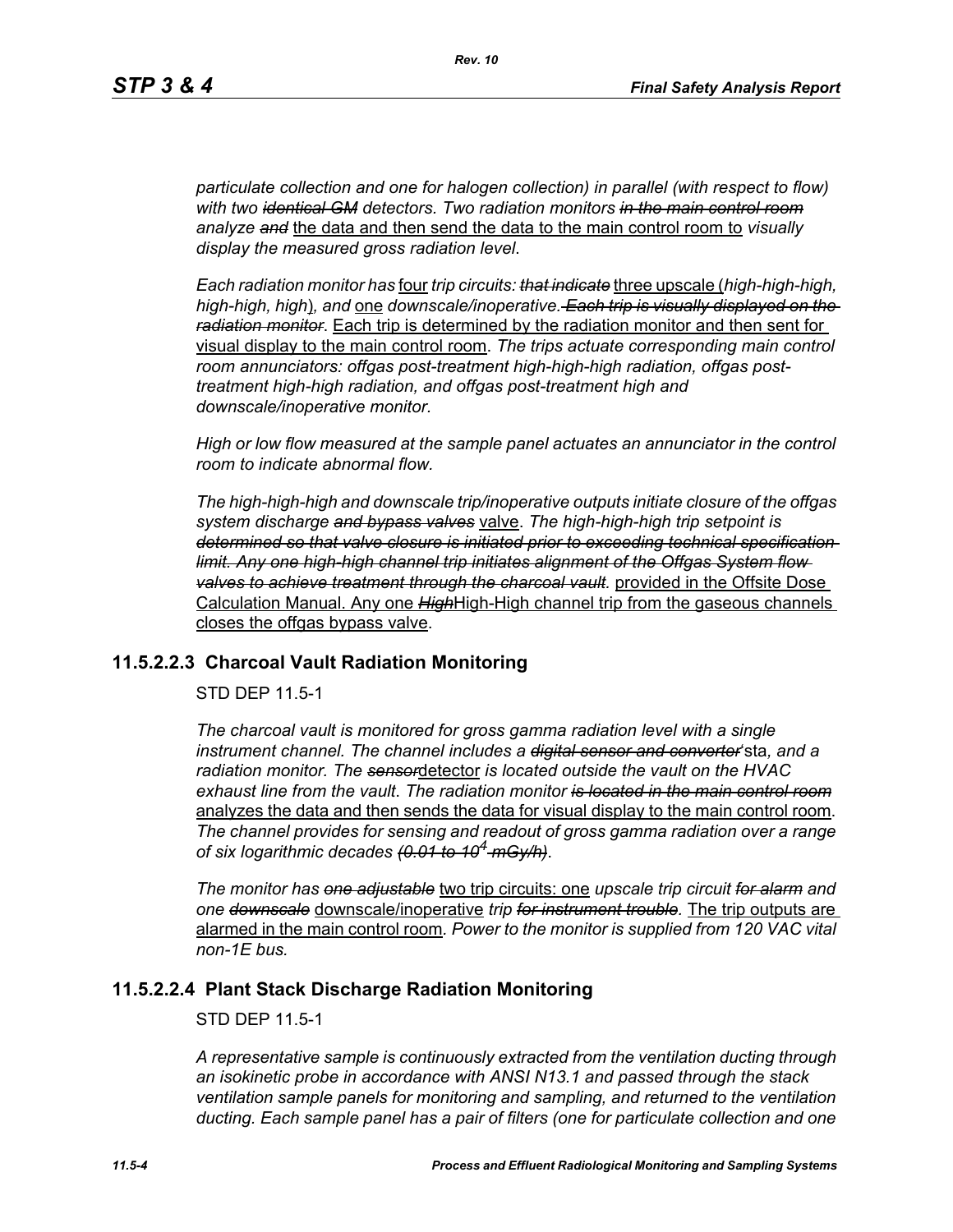*particulate collection and one for halogen collection) in parallel (with respect to flow) with two identical GM detectors. Two radiation monitors in the main control room analyze and* the data and then send the data to the main control room to *visually display the measured gross radiation level*.

*Each radiation monitor has* four *trip circuits: that indicate* three upscale (*high-high-high, high-high, high*)*, and* one *downscale/inoperative. Each trip is visually displayed on the radiation monitor*. Each trip is determined by the radiation monitor and then sent for visual display to the main control room. *The trips actuate corresponding main control room annunciators: offgas post-treatment high-high-high radiation, offgas posttreatment high-high radiation, and offgas post-treatment high and downscale/inoperative monitor.*

*High or low flow measured at the sample panel actuates an annunciator in the control room to indicate abnormal flow.*

*The high-high-high and downscale trip/inoperative outputs initiate closure of the offgas system discharge and bypass valves* valve. *The high-high-high trip setpoint is determined so that valve closure is initiated prior to exceeding technical specification limit. Any one high-high channel trip initiates alignment of the Offgas System flow valves to achieve treatment through the charcoal vault.* provided in the Offsite Dose Calculation Manual. Any one *High*High-High channel trip from the gaseous channels closes the offgas bypass valve.

#### **11.5.2.2.3 Charcoal Vault Radiation Monitoring**

STD DEP 11.5-1

*The charcoal vault is monitored for gross gamma radiation level with a single instrument channel. The channel includes a digital sensor and converter*'sta*, and a radiation monitor. The sensor*detector *is located outside the vault on the HVAC exhaust line from the vault*. *The radiation monitor is located in the main control room* analyzes the data and then sends the data for visual display to the main control room. *The channel provides for sensing and readout of gross gamma radiation over a range of six logarithmic decades (0.01 to 104 mGy/h)*.

*The monitor has one adjustable* two trip circuits: one *upscale trip circuit for alarm and one downscale* downscale/inoperative *trip for instrument trouble.* The trip outputs are alarmed in the main control room*. Power to the monitor is supplied from 120 VAC vital non-1E bus.*

#### **11.5.2.2.4 Plant Stack Discharge Radiation Monitoring**

STD DEP 11.5-1

*A representative sample is continuously extracted from the ventilation ducting through an isokinetic probe in accordance with ANSI N13.1 and passed through the stack ventilation sample panels for monitoring and sampling, and returned to the ventilation ducting. Each sample panel has a pair of filters (one for particulate collection and one*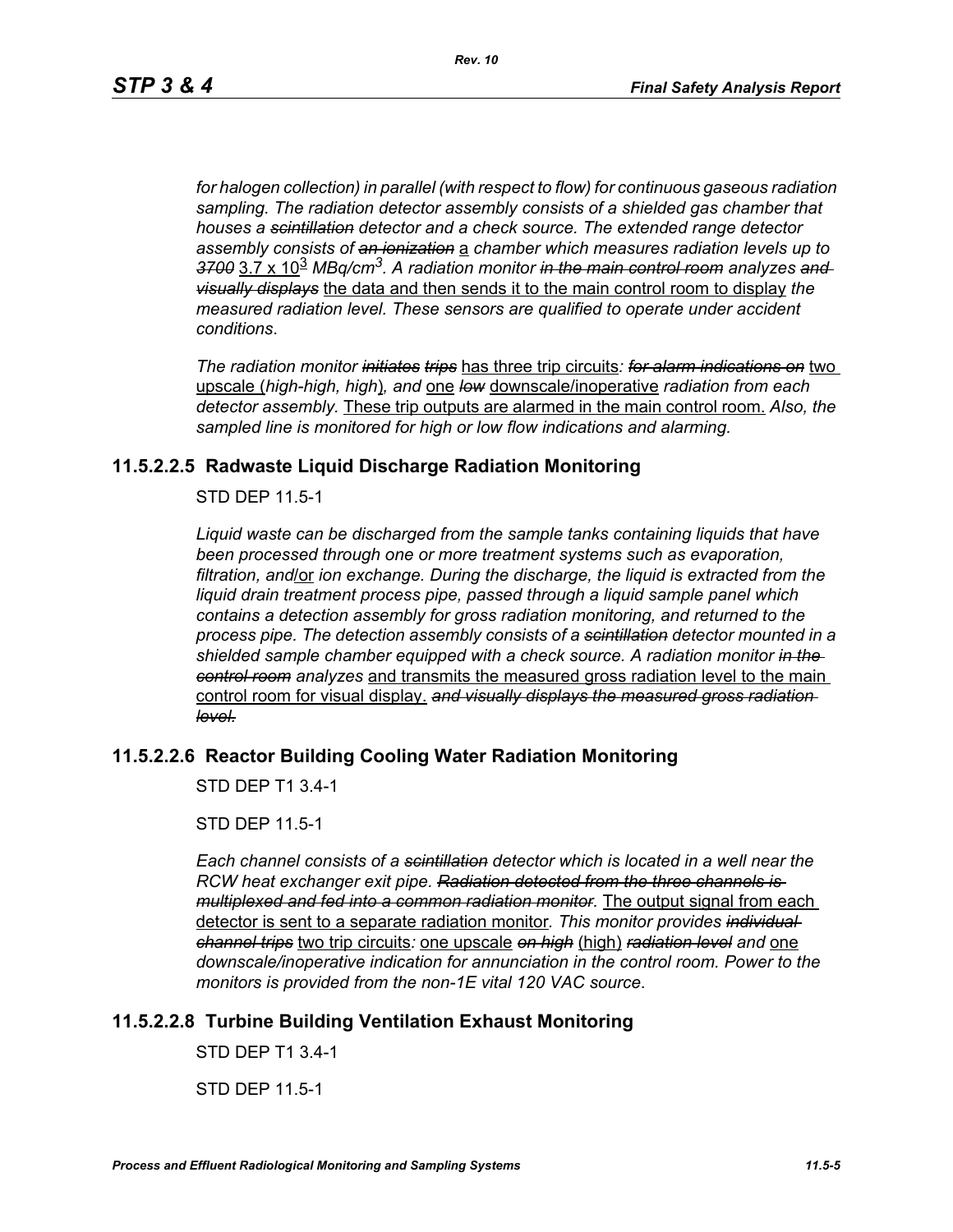*for halogen collection) in parallel (with respect to flow) for continuous gaseous radiation sampling. The radiation detector assembly consists of a shielded gas chamber that houses a scintillation detector and a check source. The extended range detector assembly consists of an ionization* a *chamber which measures radiation levels up to 3700* 3.7 x 10<sup>3</sup> *MBq/cm3. A radiation monitor in the main control room analyzes and visually displays* the data and then sends it to the main control room to display *the measured radiation level. These sensors are qualified to operate under accident conditions*.

*The radiation monitor initiates trips* has three trip circuits*: for alarm indications on* two upscale (*high-high, high*)*, and* one *low* downscale/inoperative *radiation from each detector assembly.* These trip outputs are alarmed in the main control room. *Also, the sampled line is monitored for high or low flow indications and alarming.*

## **11.5.2.2.5 Radwaste Liquid Discharge Radiation Monitoring**

STD DEP 11.5-1

*Liquid waste can be discharged from the sample tanks containing liquids that have been processed through one or more treatment systems such as evaporation, filtration, and*/or *ion exchange. During the discharge, the liquid is extracted from the liquid drain treatment process pipe, passed through a liquid sample panel which contains a detection assembly for gross radiation monitoring, and returned to the process pipe. The detection assembly consists of a scintillation detector mounted in a shielded sample chamber equipped with a check source. A radiation monitor in the control room analyzes* and transmits the measured gross radiation level to the main control room for visual display. *and visually displays the measured gross radiation level.*

# **11.5.2.2.6 Reactor Building Cooling Water Radiation Monitoring**

STD DEP T1 3.4-1

STD DEP 11.5-1

*Each channel consists of a scintillation detector which is located in a well near the RCW heat exchanger exit pipe. Radiation detected from the three channels is multiplexed and fed into a common radiation monitor.* The output signal from each detector is sent to a separate radiation monitor*. This monitor provides individual channel trips* two trip circuits*:* one upscale *on high* (high) *radiation level and* one *downscale/inoperative indication for annunciation in the control room. Power to the monitors is provided from the non-1E vital 120 VAC source*.

## **11.5.2.2.8 Turbine Building Ventilation Exhaust Monitoring**

STD DEP T1 3.4-1

STD DEP 11.5-1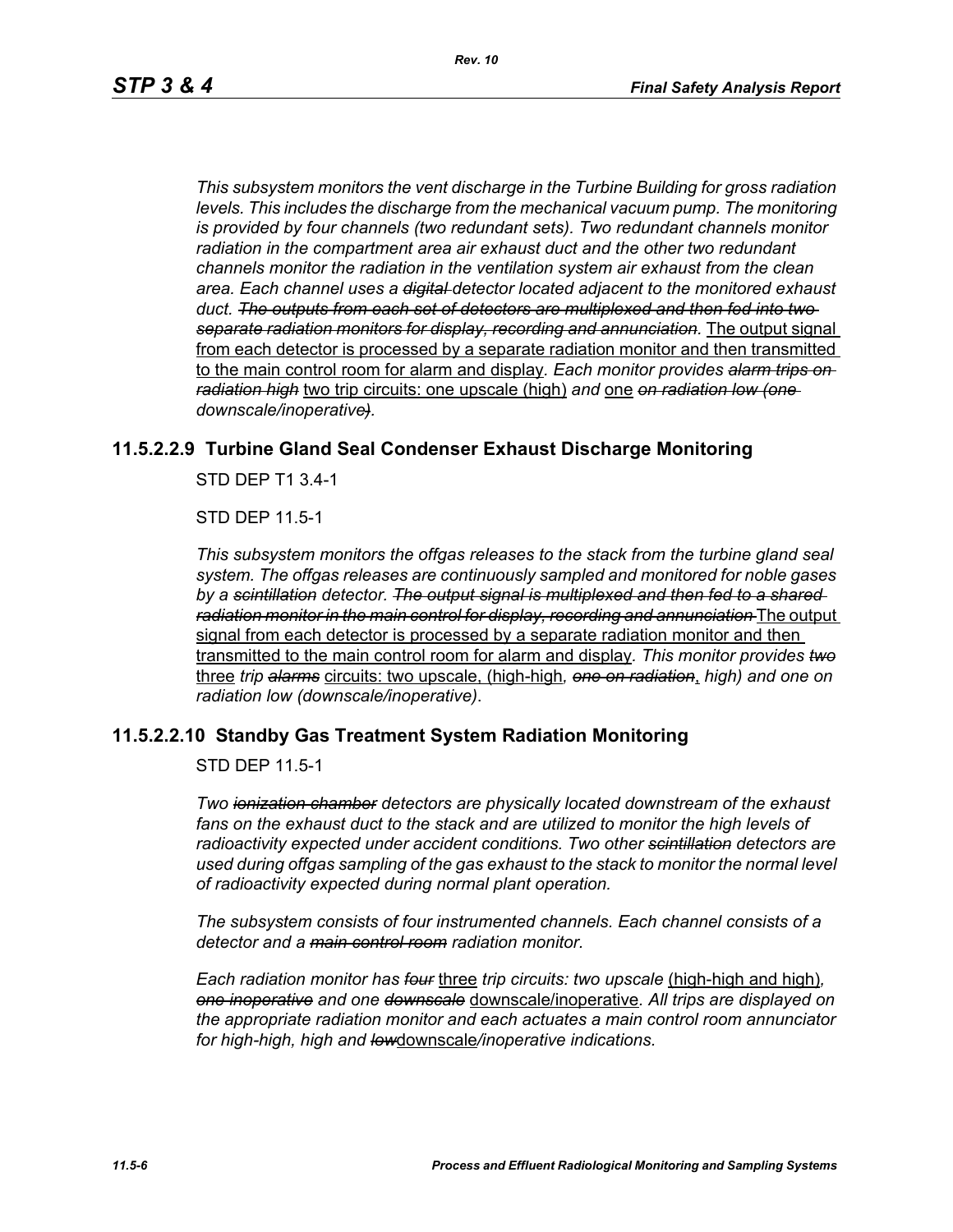*This subsystem monitors the vent discharge in the Turbine Building for gross radiation*  levels. This includes the discharge from the mechanical vacuum pump. The monitoring *is provided by four channels (two redundant sets). Two redundant channels monitor radiation in the compartment area air exhaust duct and the other two redundant channels monitor the radiation in the ventilation system air exhaust from the clean area. Each channel uses a digital detector located adjacent to the monitored exhaust duct. The outputs from each set of detectors are multiplexed and then fed into two separate radiation monitors for display, recording and annunciation.* The output signal from each detector is processed by a separate radiation monitor and then transmitted to the main control room for alarm and display*. Each monitor provides alarm trips on radiation high* two trip circuits: one upscale (high) *and* one *on radiation low (one downscale/inoperative).*

## **11.5.2.2.9 Turbine Gland Seal Condenser Exhaust Discharge Monitoring**

STD DEP T1 3.4-1

STD DEP 11.5-1

*This subsystem monitors the offgas releases to the stack from the turbine gland seal system. The offgas releases are continuously sampled and monitored for noble gases by a scintillation detector. The output signal is multiplexed and then fed to a shared radiation monitor in the main control for display, recording and annunciation* The output signal from each detector is processed by a separate radiation monitor and then transmitted to the main control room for alarm and display*. This monitor provides two* three *trip alarms* circuits: two upscale, (high-high*, one on radiation*, *high) and one on radiation low (downscale/inoperative)*.

#### **11.5.2.2.10 Standby Gas Treatment System Radiation Monitoring**

STD DEP 11.5-1

*Two ionization chamber detectors are physically located downstream of the exhaust fans on the exhaust duct to the stack and are utilized to monitor the high levels of radioactivity expected under accident conditions. Two other scintillation detectors are used during offgas sampling of the gas exhaust to the stack to monitor the normal level of radioactivity expected during normal plant operation.*

*The subsystem consists of four instrumented channels. Each channel consists of a detector and a main control room radiation monitor.*

*Each radiation monitor has four* three *trip circuits: two upscale* (high-high and high)*, one inoperative and one downscale* downscale/inoperative*. All trips are displayed on the appropriate radiation monitor and each actuates a main control room annunciator for high-high, high and low*downscale*/inoperative indications.*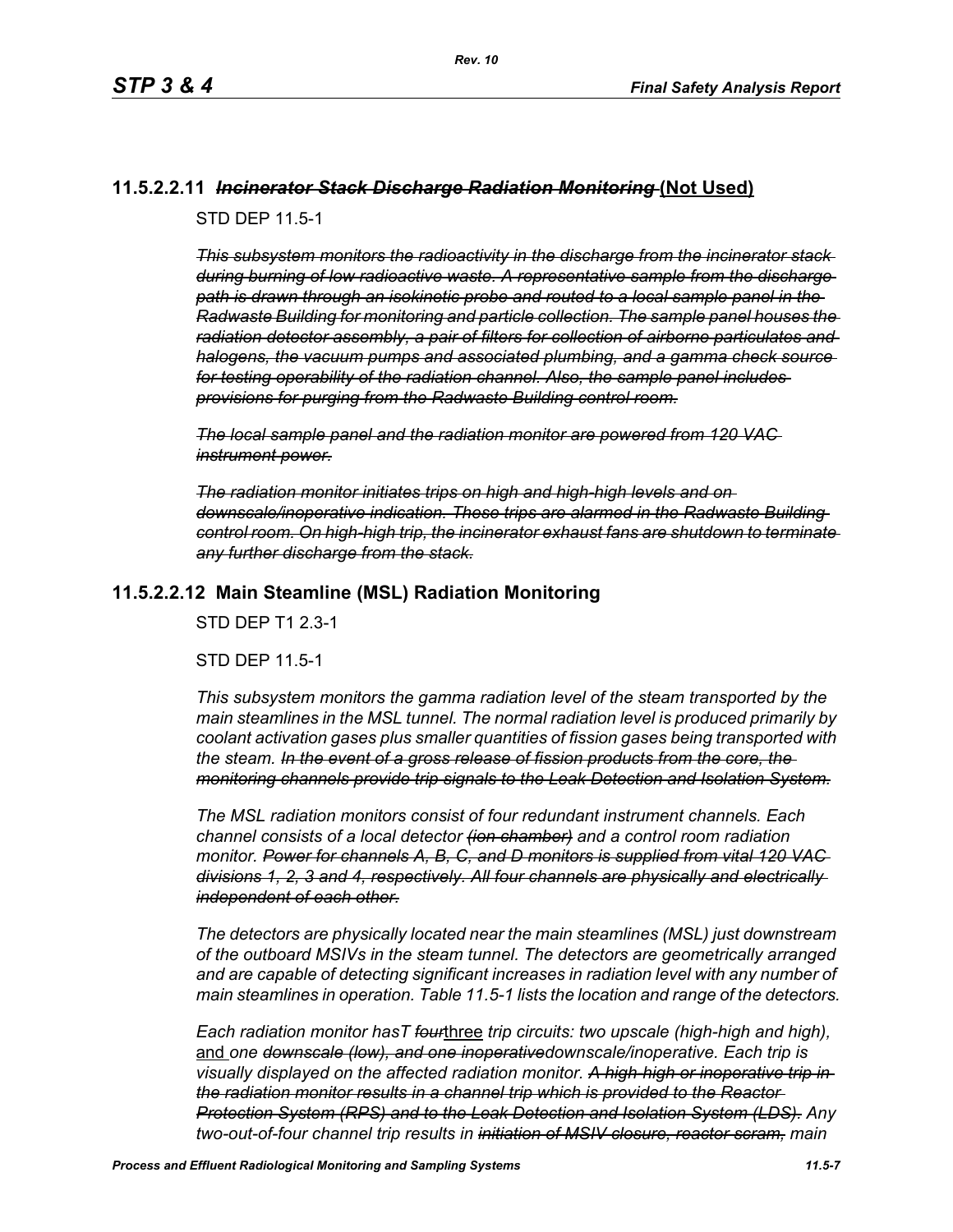## **11.5.2.2.11** *Incinerator Stack Discharge Radiation Monitoring* **(Not Used)**

STD DEP 11.5-1

*This subsystem monitors the radioactivity in the discharge from the incinerator stack during burning of low radioactive waste. A representative sample from the discharge path is drawn through an isokinetic probe and routed to a local sample panel in the Radwaste Building for monitoring and particle collection. The sample panel houses the radiation detector assembly, a pair of filters for collection of airborne particulates and halogens, the vacuum pumps and associated plumbing, and a gamma check source for testing operability of the radiation channel. Also, the sample panel includes provisions for purging from the Radwaste Building control room.*

*The local sample panel and the radiation monitor are powered from 120 VAC instrument power.*

*The radiation monitor initiates trips on high and high-high levels and on downscale/inoperative indication. These trips are alarmed in the Radwaste Building control room. On high-high trip, the incinerator exhaust fans are shutdown to terminate any further discharge from the stack.*

## **11.5.2.2.12 Main Steamline (MSL) Radiation Monitoring**

STD DEP T1 2.3-1

STD DEP 11.5-1

*This subsystem monitors the gamma radiation level of the steam transported by the main steamlines in the MSL tunnel. The normal radiation level is produced primarily by coolant activation gases plus smaller quantities of fission gases being transported with the steam. In the event of a gross release of fission products from the core, the monitoring channels provide trip signals to the Leak Detection and Isolation System.*

*The MSL radiation monitors consist of four redundant instrument channels. Each channel consists of a local detector (ion chamber) and a control room radiation monitor. Power for channels A, B, C, and D monitors is supplied from vital 120 VAC divisions 1, 2, 3 and 4, respectively. All four channels are physically and electrically independent of each other.*

*The detectors are physically located near the main steamlines (MSL) just downstream of the outboard MSIVs in the steam tunnel. The detectors are geometrically arranged and are capable of detecting significant increases in radiation level with any number of main steamlines in operation. Table 11.5-1 lists the location and range of the detectors.*

*Each radiation monitor hasT four*three *trip circuits: two upscale (high-high and high),*  and *one downscale (low), and one inoperativedownscale/inoperative. Each trip is visually displayed on the affected radiation monitor. A high-high or inoperative trip in the radiation monitor results in a channel trip which is provided to the Reactor Protection System (RPS) and to the Leak Detection and Isolation System (LDS). Any two-out-of-four channel trip results in initiation of MSIV closure, reactor scram, main*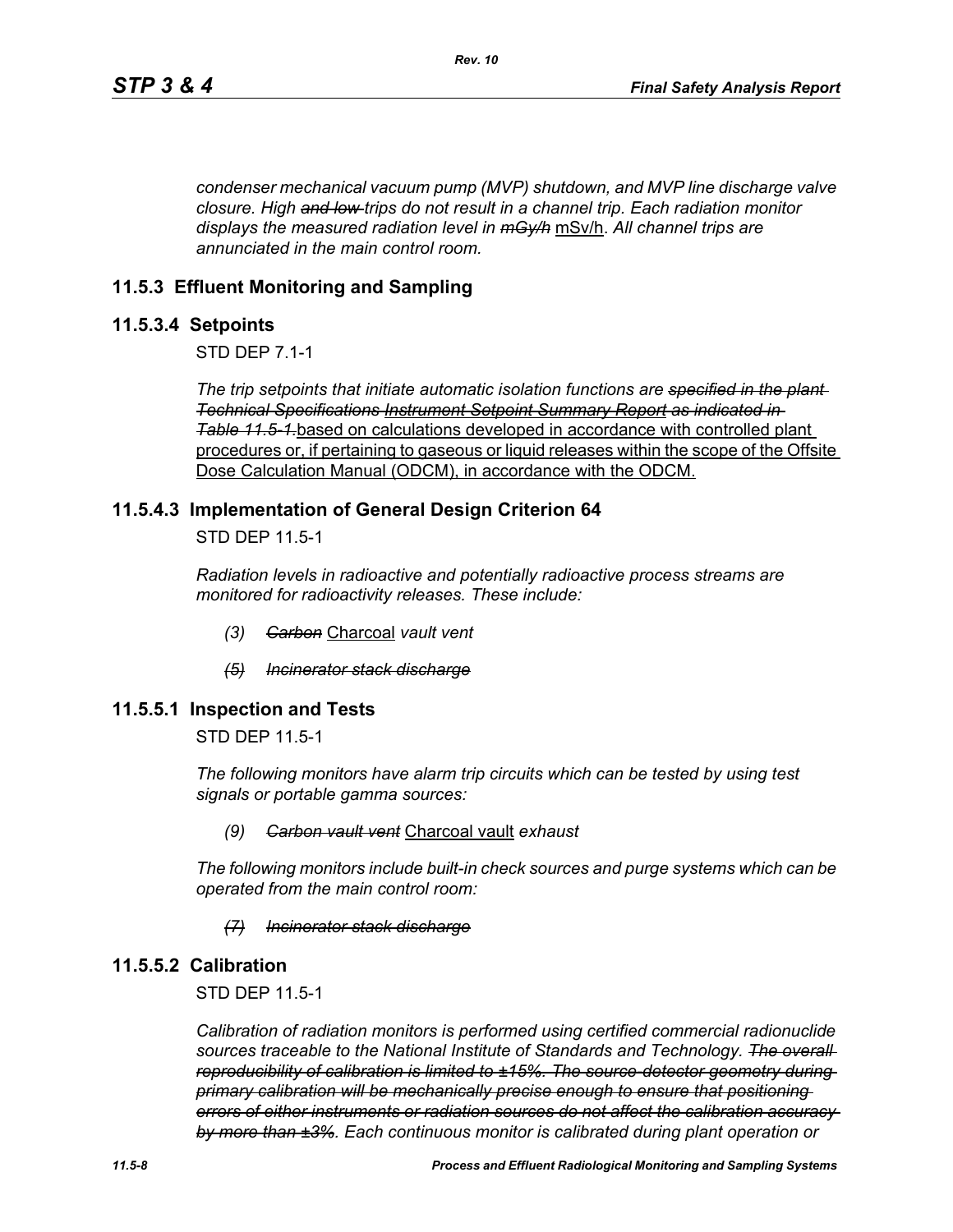*condenser mechanical vacuum pump (MVP) shutdown, and MVP line discharge valve closure. High and low trips do not result in a channel trip. Each radiation monitor displays the measured radiation level in mGy/h* mSv/h. *All channel trips are annunciated in the main control room.*

## **11.5.3 Effluent Monitoring and Sampling**

#### **11.5.3.4 Setpoints**

STD DEP 7.1-1

*The trip setpoints that initiate automatic isolation functions are specified in the plant Technical Specifications Instrument Setpoint Summary Report as indicated in Table [11.5-1.](#page-12-0)*based on calculations developed in accordance with controlled plant procedures or, if pertaining to gaseous or liquid releases within the scope of the Offsite Dose Calculation Manual (ODCM), in accordance with the ODCM.

#### **11.5.4.3 Implementation of General Design Criterion 64**

STD DEP 11.5-1

*Radiation levels in radioactive and potentially radioactive process streams are monitored for radioactivity releases. These include:*

- *(3) Carbon* Charcoal *vault vent*
- *(5) Incinerator stack discharge*

#### **11.5.5.1 Inspection and Tests**

STD DEP 11.5-1

*The following monitors have alarm trip circuits which can be tested by using test signals or portable gamma sources:*

#### *(9) Carbon vault vent* Charcoal vault *exhaust*

*The following monitors include built-in check sources and purge systems which can be operated from the main control room:*

#### *(7) Incinerator stack discharge*

#### **11.5.5.2 Calibration**

STD DEP 11.5-1

*Calibration of radiation monitors is performed using certified commercial radionuclide sources traceable to the National Institute of Standards and Technology. The overall reproducibility of calibration is limited to ±15%. The source-detector geometry during primary calibration will be mechanically precise enough to ensure that positioning errors of either instruments or radiation sources do not affect the calibration accuracy by more than ±3%. Each continuous monitor is calibrated during plant operation or*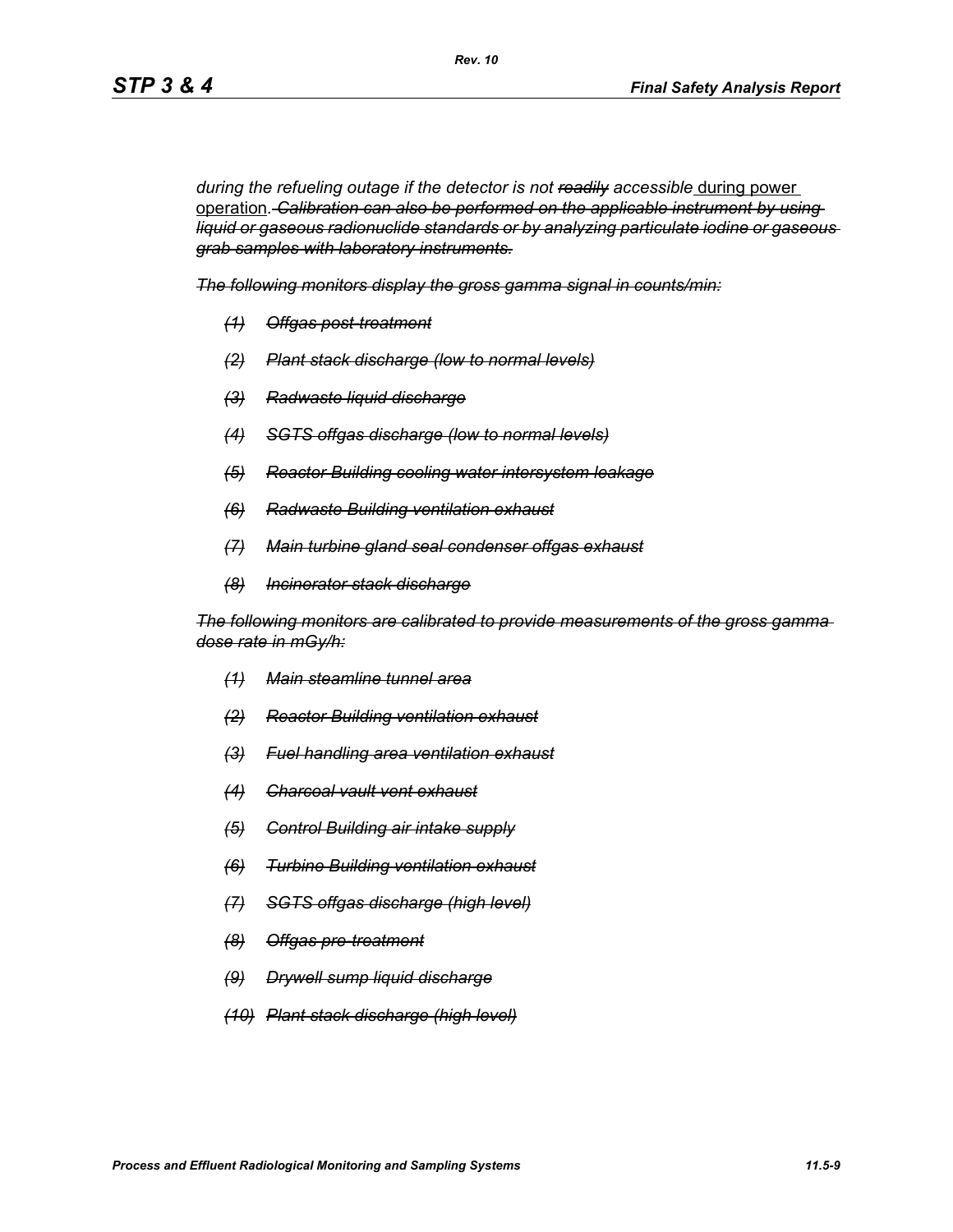during the refueling outage if the detector is not readily accessible during power operation*. Calibration can also be performed on the applicable instrument by using liquid or gaseous radionuclide standards or by analyzing particulate iodine or gaseous grab samples with laboratory instruments.*

*The following monitors display the gross gamma signal in counts/min:*

*Rev. 10*

- *(1) Offgas post-treatment*
- *(2) Plant stack discharge (low to normal levels)*
- *(3) Radwaste liquid discharge*
- *(4) SGTS offgas discharge (low to normal levels)*
- *(5) Reactor Building cooling water intersystem leakage*
- *(6) Radwaste Building ventilation exhaust*
- *(7) Main turbine gland seal condenser offgas exhaust*
- *(8) Incinerator stack discharge*

*The following monitors are calibrated to provide measurements of the gross gamma dose rate in mGy/h:*

- *(1) Main steamline tunnel area*
- *(2) Reactor Building ventilation exhaust*
- *(3) Fuel handling area ventilation exhaust*
- *(4) Charcoal vault vent exhaust*
- *(5) Control Building air intake supply*
- *(6) Turbine Building ventilation exhaust*
- *(7) SGTS offgas discharge (high level)*
- *(8) Offgas pre-treatment*
- *(9) Drywell sump liquid discharge*
- *(10) Plant stack discharge (high level)*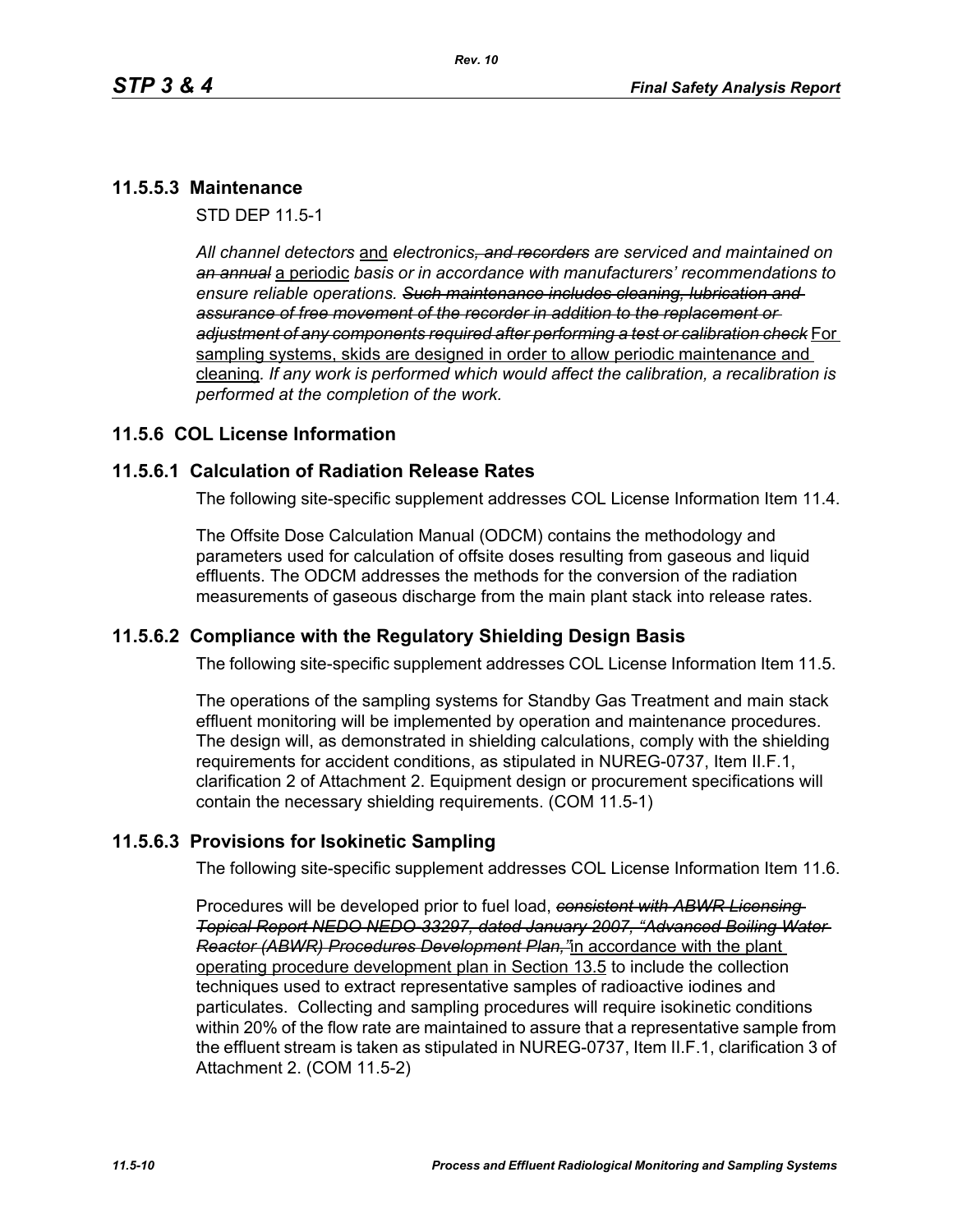## **11.5.5.3 Maintenance**

STD DEP 11.5-1

*All channel detectors* and *electronics, and recorders are serviced and maintained on an annual* a periodic *basis or in accordance with manufacturers' recommendations to ensure reliable operations. Such maintenance includes cleaning, lubrication and assurance of free movement of the recorder in addition to the replacement or adjustment of any components required after performing a test or calibration check* For sampling systems, skids are designed in order to allow periodic maintenance and cleaning*. If any work is performed which would affect the calibration, a recalibration is performed at the completion of the work.*

## **11.5.6 COL License Information**

#### **11.5.6.1 Calculation of Radiation Release Rates**

The following site-specific supplement addresses COL License Information Item 11.4.

The Offsite Dose Calculation Manual (ODCM) contains the methodology and parameters used for calculation of offsite doses resulting from gaseous and liquid effluents. The ODCM addresses the methods for the conversion of the radiation measurements of gaseous discharge from the main plant stack into release rates.

#### **11.5.6.2 Compliance with the Regulatory Shielding Design Basis**

The following site-specific supplement addresses COL License Information Item 11.5.

The operations of the sampling systems for Standby Gas Treatment and main stack effluent monitoring will be implemented by operation and maintenance procedures. The design will, as demonstrated in shielding calculations, comply with the shielding requirements for accident conditions, as stipulated in NUREG-0737, Item II.F.1, clarification 2 of Attachment 2. Equipment design or procurement specifications will contain the necessary shielding requirements. (COM 11.5-1)

#### **11.5.6.3 Provisions for Isokinetic Sampling**

The following site-specific supplement addresses COL License Information Item 11.6.

Procedures will be developed prior to fuel load, *consistent with ABWR Licensing Topical Report NEDO NEDO-33297, dated January 2007, "Advanced Boiling Water Reactor (ABWR) Procedures Development Plan,"*in accordance with the plant operating procedure development plan in Section 13.5 to include the collection techniques used to extract representative samples of radioactive iodines and particulates. Collecting and sampling procedures will require isokinetic conditions within 20% of the flow rate are maintained to assure that a representative sample from the effluent stream is taken as stipulated in NUREG-0737, Item II.F.1, clarification 3 of Attachment 2. (COM 11.5-2)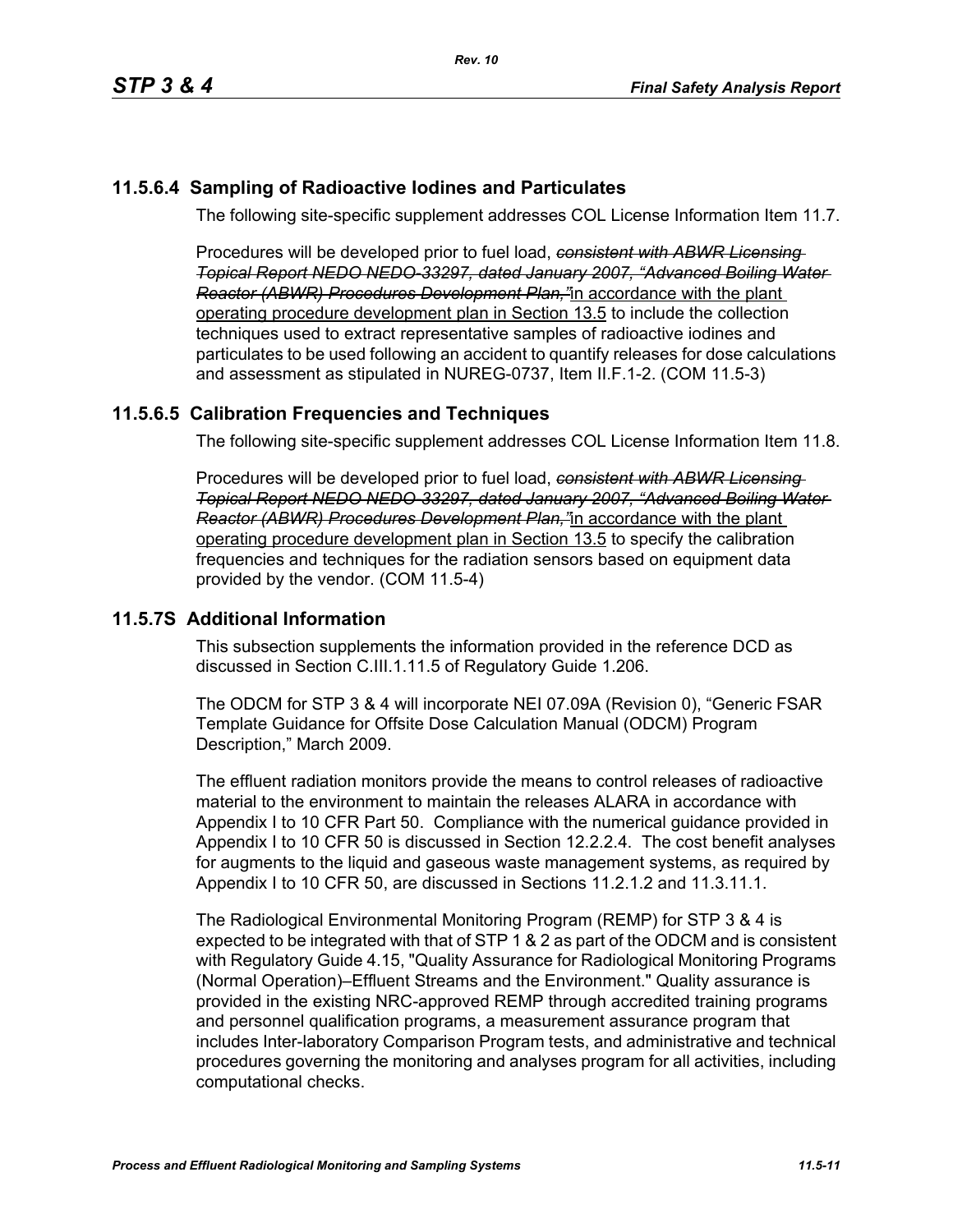## **11.5.6.4 Sampling of Radioactive Iodines and Particulates**

The following site-specific supplement addresses COL License Information Item 11.7.

Procedures will be developed prior to fuel load, *consistent with ABWR Licensing Topical Report NEDO NEDO-33297, dated January 2007, "Advanced Boiling Water Reactor (ABWR) Procedures Development Plan,"*in accordance with the plant operating procedure development plan in Section 13.5 to include the collection techniques used to extract representative samples of radioactive iodines and particulates to be used following an accident to quantify releases for dose calculations and assessment as stipulated in NUREG-0737, Item II.F.1-2. (COM 11.5-3)

# **11.5.6.5 Calibration Frequencies and Techniques**

The following site-specific supplement addresses COL License Information Item 11.8.

Procedures will be developed prior to fuel load, *consistent with ABWR Licensing Topical Report NEDO NEDO-33297, dated January 2007, "Advanced Boiling Water Reactor (ABWR) Procedures Development Plan,"*in accordance with the plant operating procedure development plan in Section 13.5 to specify the calibration frequencies and techniques for the radiation sensors based on equipment data provided by the vendor. (COM 11.5-4)

## **11.5.7S Additional Information**

This subsection supplements the information provided in the reference DCD as discussed in Section C.III.1.11.5 of Regulatory Guide 1.206.

The ODCM for STP 3 & 4 will incorporate NEI 07.09A (Revision 0), "Generic FSAR Template Guidance for Offsite Dose Calculation Manual (ODCM) Program Description," March 2009.

The effluent radiation monitors provide the means to control releases of radioactive material to the environment to maintain the releases ALARA in accordance with Appendix I to 10 CFR Part 50. Compliance with the numerical guidance provided in Appendix I to 10 CFR 50 is discussed in Section 12.2.2.4. The cost benefit analyses for augments to the liquid and gaseous waste management systems, as required by Appendix I to 10 CFR 50, are discussed in Sections 11.2.1.2 and 11.3.11.1.

The Radiological Environmental Monitoring Program (REMP) for STP 3 & 4 is expected to be integrated with that of STP 1 & 2 as part of the ODCM and is consistent with Regulatory Guide 4.15, "Quality Assurance for Radiological Monitoring Programs (Normal Operation)–Effluent Streams and the Environment." Quality assurance is provided in the existing NRC-approved REMP through accredited training programs and personnel qualification programs, a measurement assurance program that includes Inter-laboratory Comparison Program tests, and administrative and technical procedures governing the monitoring and analyses program for all activities, including computational checks.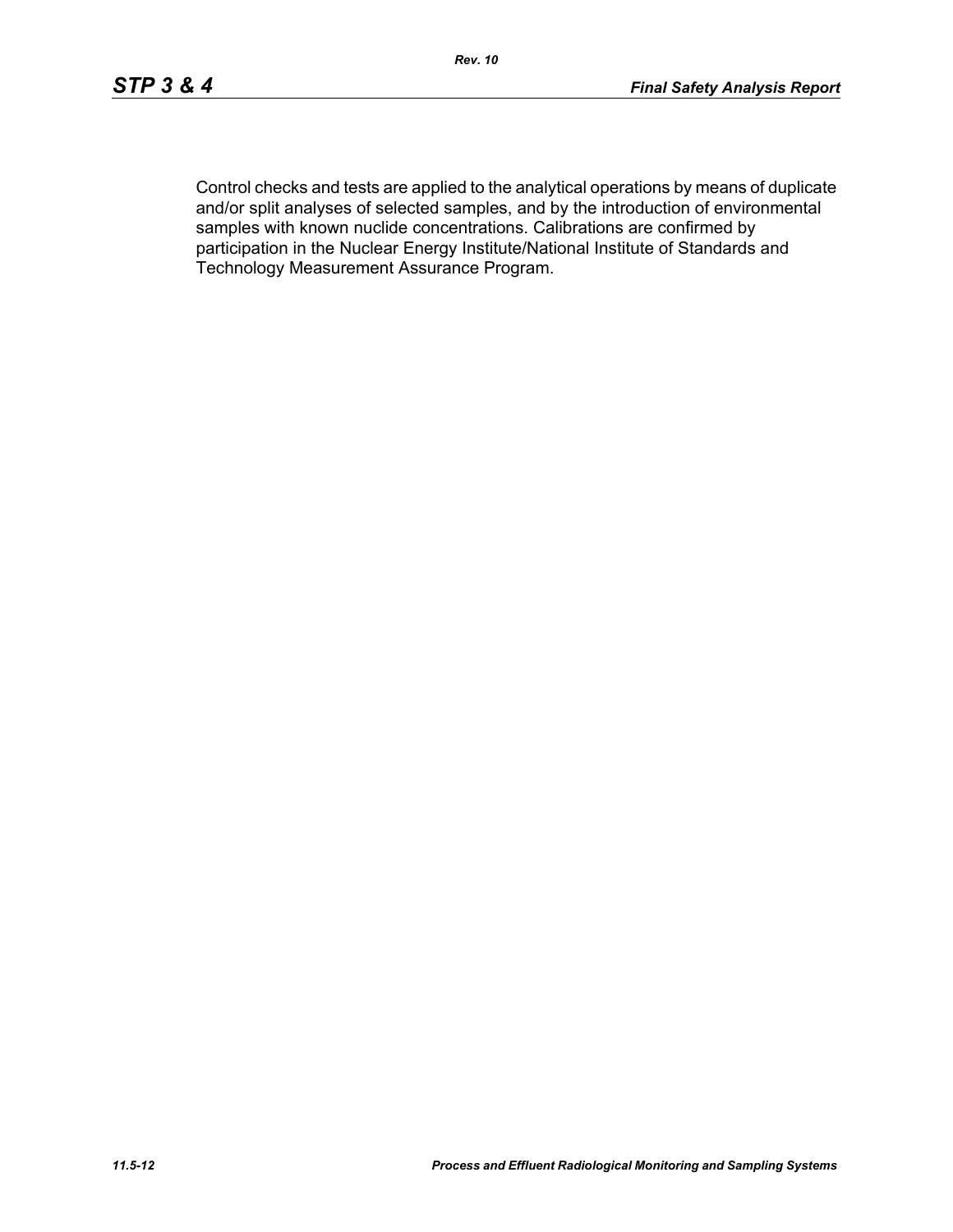Control checks and tests are applied to the analytical operations by means of duplicate and/or split analyses of selected samples, and by the introduction of environmental samples with known nuclide concentrations. Calibrations are confirmed by participation in the Nuclear Energy Institute/National Institute of Standards and Technology Measurement Assurance Program.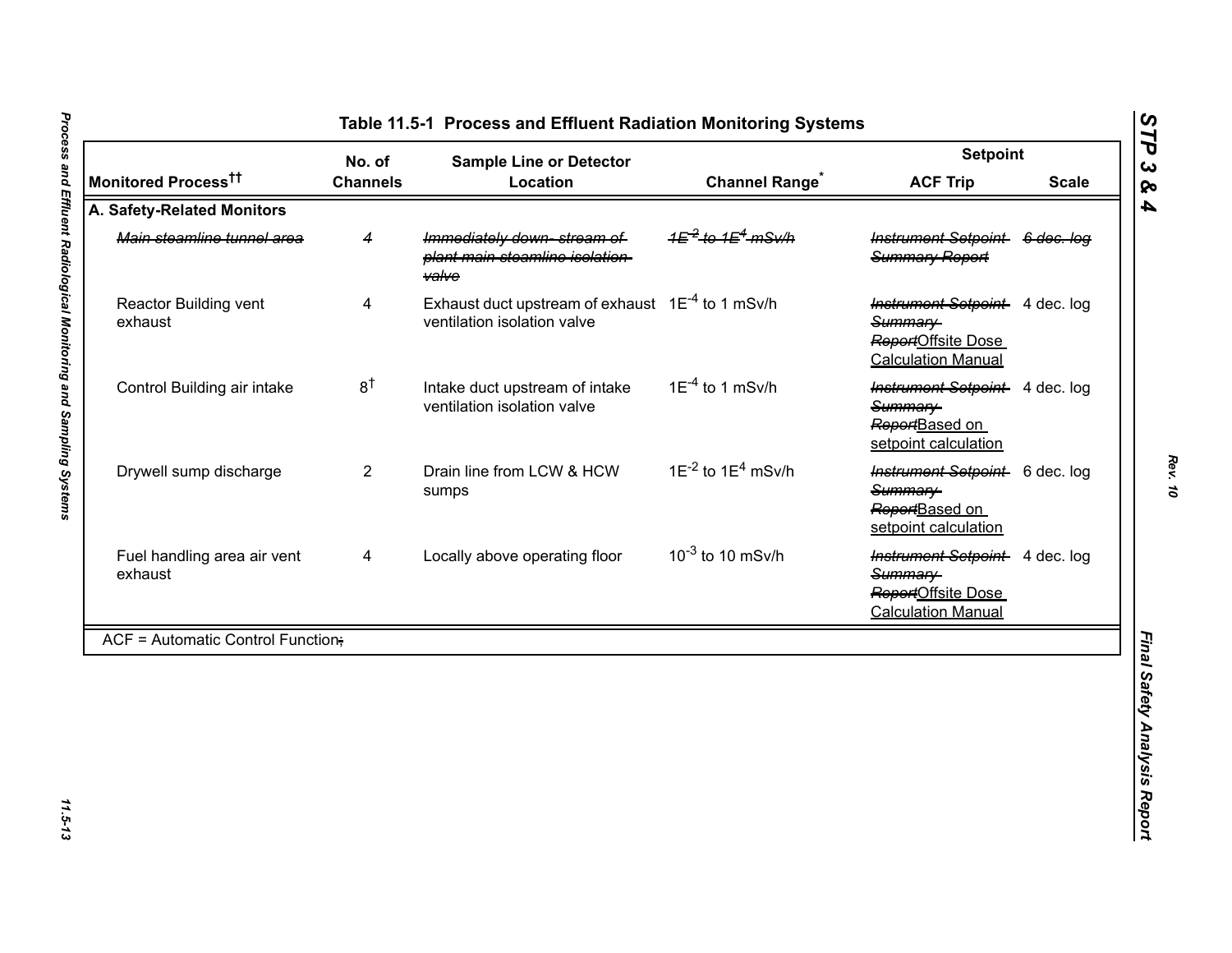|                                          | No. of          | <b>Sample Line or Detector</b>                                                              |                                                     | <b>Setpoint</b>                                                                              |              |
|------------------------------------------|-----------------|---------------------------------------------------------------------------------------------|-----------------------------------------------------|----------------------------------------------------------------------------------------------|--------------|
| Monitored Process <sup>††</sup>          | <b>Channels</b> | Location                                                                                    | <b>Channel Range<sup>®</sup></b>                    | <b>ACF Trip</b>                                                                              | <b>Scale</b> |
| A. Safety-Related Monitors               |                 |                                                                                             |                                                     |                                                                                              |              |
| Main steamline tunnel area               | 4               | Immediately down-stream of<br>plant main steamline isolation-<br><b>valve</b>               | 1 <del>E<sup>-2</sup> to 1E<sup>4</sup> mSv/h</del> | Instrument Setpoint 6 dec. log<br>Summary Report                                             |              |
| Reactor Building vent<br>exhaust         | 4               | Exhaust duct upstream of exhaust 1E <sup>-4</sup> to 1 mSv/h<br>ventilation isolation valve |                                                     | Instrument Setpoint 4 dec. log<br>Summary<br>ReportOffsite Dose<br><b>Calculation Manual</b> |              |
| Control Building air intake              | $8^{\dagger}$   | Intake duct upstream of intake<br>ventilation isolation valve                               | $1E^{-4}$ to 1 mSv/h                                | <b>Instrument Setpoint</b> 4 dec. log<br>Summary<br>ReportBased on<br>setpoint calculation   |              |
| Drywell sump discharge                   | $\overline{2}$  | Drain line from LCW & HCW<br>sumps                                                          | $1E^{-2}$ to $1E^{4}$ mSv/h                         | Instrument Setpoint 6 dec. log<br>Summary-<br>ReportBased on<br>setpoint calculation         |              |
| Fuel handling area air vent<br>exhaust   | 4               | Locally above operating floor                                                               | $10^{-3}$ to 10 mSv/h                               | Instrument Setpoint 4 dec. log<br>Summary<br>ReportOffsite Dose<br><b>Calculation Manual</b> |              |
| <b>ACF = Automatic Control Function;</b> |                 |                                                                                             |                                                     |                                                                                              |              |

*Rev. 10*

<span id="page-12-0"></span>11.5-13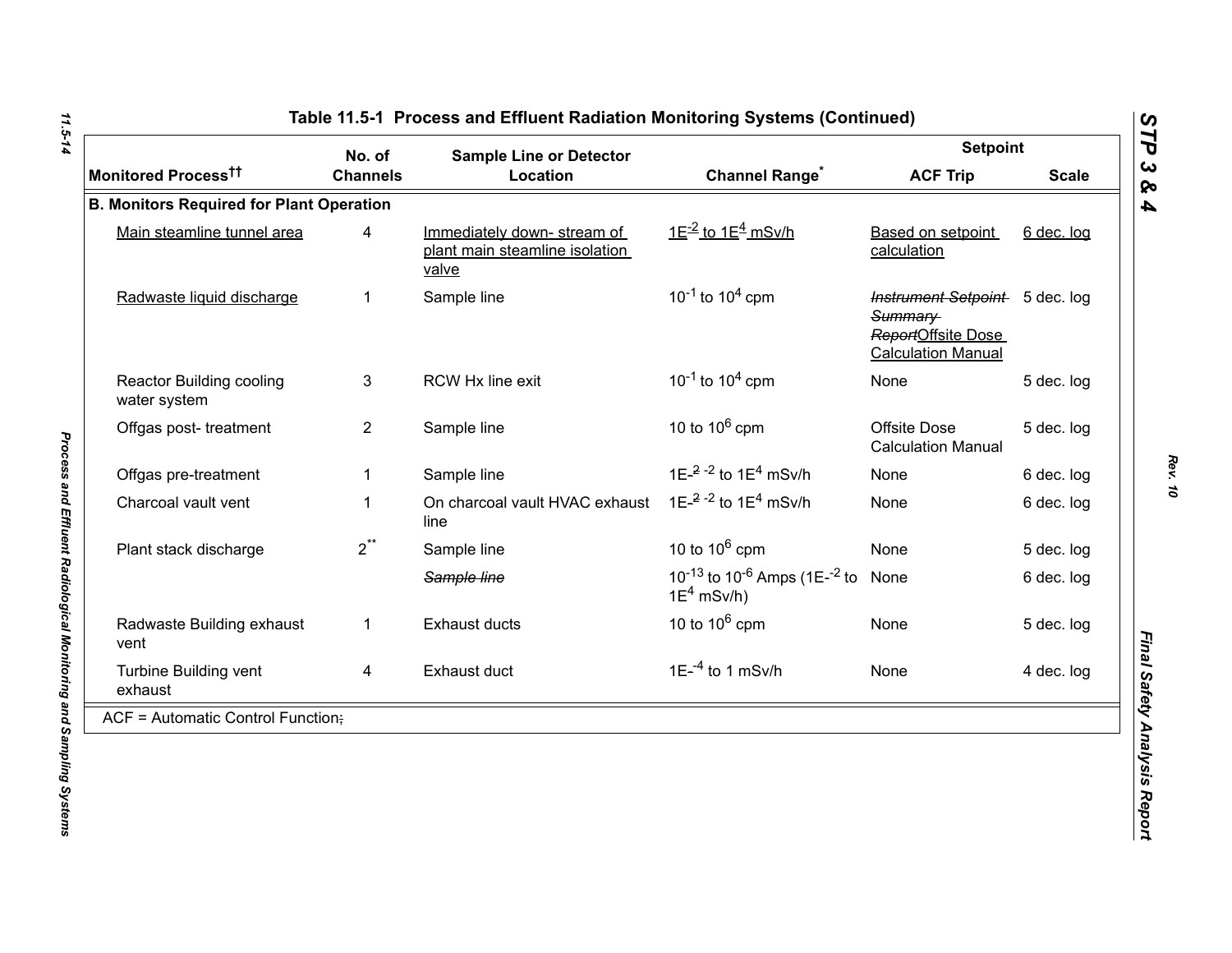|                                                 | No. of          | <b>Sample Line or Detector</b>                                        | <b>Setpoint</b>                                                                   |                                                                                              |              |
|-------------------------------------------------|-----------------|-----------------------------------------------------------------------|-----------------------------------------------------------------------------------|----------------------------------------------------------------------------------------------|--------------|
| Monitored Process <sup>tt</sup>                 | <b>Channels</b> | Location                                                              | <b>Channel Range<sup>*</sup></b>                                                  | <b>ACF Trip</b>                                                                              | <b>Scale</b> |
| <b>B. Monitors Required for Plant Operation</b> |                 |                                                                       |                                                                                   |                                                                                              |              |
| Main steamline tunnel area                      | 4               | Immediately down-stream of<br>plant main steamline isolation<br>valve | $1E^{-2}$ to $1E^{4}$ mSv/h                                                       | Based on setpoint<br>calculation                                                             | 6 dec. log   |
| Radwaste liquid discharge                       | $\mathbf 1$     | Sample line                                                           | $10^{-1}$ to $10^{4}$ cpm                                                         | Instrument Setpoint 5 dec. log<br>Summary<br>ReportOffsite Dose<br><b>Calculation Manual</b> |              |
| <b>Reactor Building cooling</b><br>water system | 3               | RCW Hx line exit                                                      | $10^{-1}$ to $10^{4}$ cpm                                                         | None                                                                                         | 5 dec. log   |
| Offgas post-treatment                           | $\overline{2}$  | Sample line                                                           | 10 to $10^6$ cpm                                                                  | Offsite Dose<br><b>Calculation Manual</b>                                                    | 5 dec. log   |
| Offgas pre-treatment                            |                 | Sample line                                                           | 1E- $^{2}$ - $^{2}$ to 1E <sup>4</sup> mSv/h                                      | None                                                                                         | 6 dec. log   |
| Charcoal vault vent                             | $\mathbf 1$     | On charcoal vault HVAC exhaust<br>line                                | 1E $-2$ -2 to 1E <sup>4</sup> mSv/h                                               | None                                                                                         | 6 dec. log   |
| Plant stack discharge                           | $2^{**}$        | Sample line                                                           | 10 to $10^6$ cpm                                                                  | None                                                                                         | 5 dec. log   |
|                                                 |                 | Sample line                                                           | 10 <sup>-13</sup> to 10 <sup>-6</sup> Amps (1E- <sup>-2</sup> to<br>$1E^4$ mSv/h) | None                                                                                         | 6 dec. log   |
| Radwaste Building exhaust<br>vent               | $\mathbf{1}$    | <b>Exhaust ducts</b>                                                  | 10 to $10^6$ cpm                                                                  | None                                                                                         | 5 dec. log   |
| Turbine Building vent<br>exhaust                | 4               | Exhaust duct                                                          | $1E^{-4}$ to 1 mSv/h                                                              | None                                                                                         | 4 dec. log   |
| $ACF =$ Automatic Control Function;             |                 |                                                                       |                                                                                   |                                                                                              |              |

11.5-14 *11.5-14 Process and Effluent Radiological Monitoring and Sampling Systems* 

Process and Effluent Radiological Monitoring and Sampling Systems

*STP 3 & 4*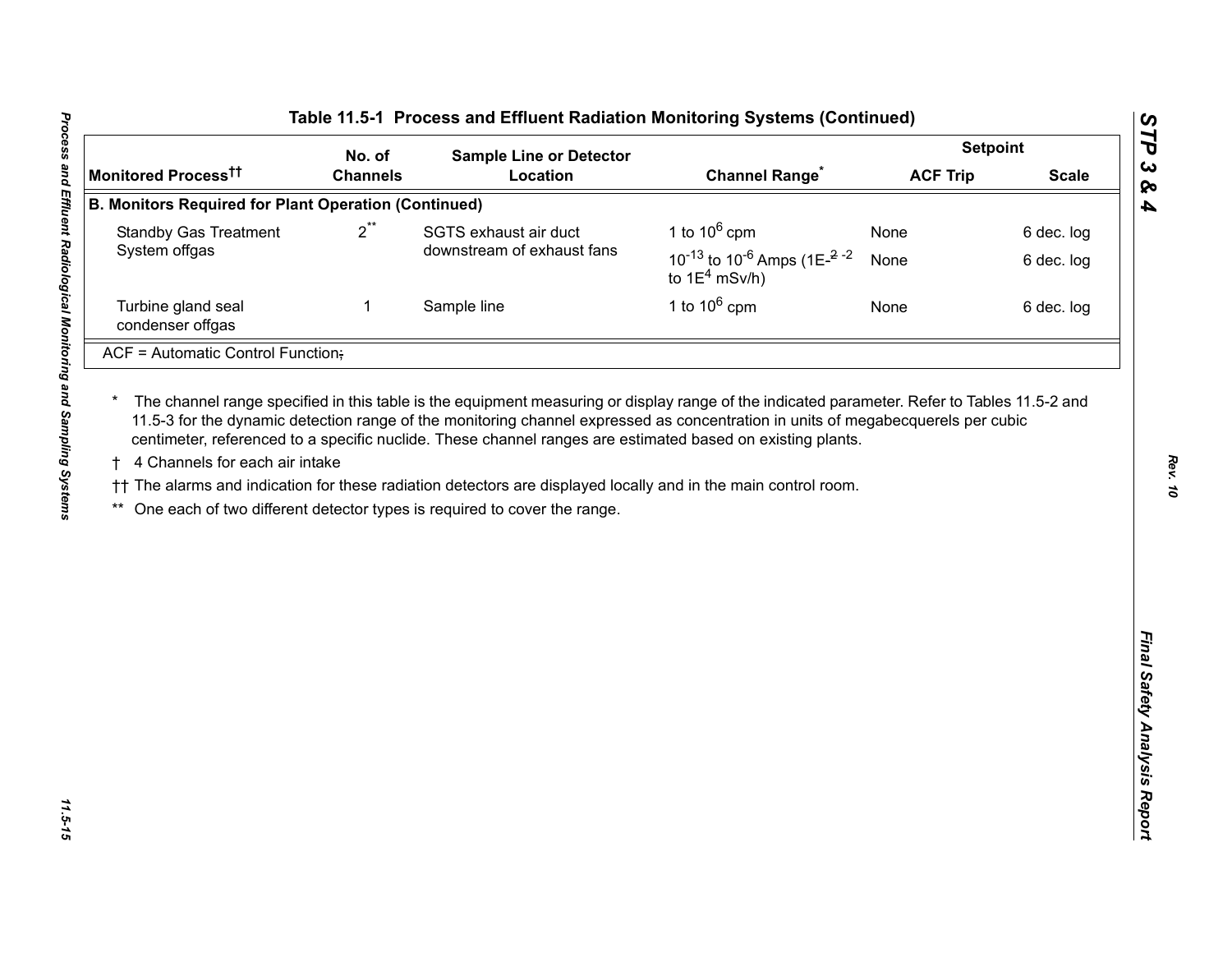| No. of<br><b>Channels</b><br><b>B. Monitors Required for Plant Operation (Continued)</b><br>$2^{**}$<br>1 | <b>Sample Line or Detector</b><br>Location<br>SGTS exhaust air duct<br>downstream of exhaust fans<br>Sample line<br>The channel range specified in this table is the equipment measuring or display range of the indicated parameter. Refer to Tables 11.5-2 and<br>11.5-3 for the dynamic detection range of the monitoring channel expressed as concentration in units of megabecquerels per cubic<br>centimeter, referenced to a specific nuclide. These channel ranges are estimated based on existing plants.<br>†† The alarms and indication for these radiation detectors are displayed locally and in the main control room.<br>One each of two different detector types is required to cover the range. | <b>Channel Range<sup>*</sup></b><br>1 to $10^6$ cpm<br>10 <sup>-13</sup> to 10 <sup>-6</sup> Amps (1E <sup><math>-2</math></sup> <sup>-2</sup><br>to $1E^4$ mSv/h)<br>1 to $10^6$ cpm | <b>ACF Trip</b><br>None<br>None<br>None | <b>Scale</b><br>6 dec. log<br>6 dec. log<br>6 dec. log |
|-----------------------------------------------------------------------------------------------------------|------------------------------------------------------------------------------------------------------------------------------------------------------------------------------------------------------------------------------------------------------------------------------------------------------------------------------------------------------------------------------------------------------------------------------------------------------------------------------------------------------------------------------------------------------------------------------------------------------------------------------------------------------------------------------------------------------------------|---------------------------------------------------------------------------------------------------------------------------------------------------------------------------------------|-----------------------------------------|--------------------------------------------------------|
|                                                                                                           |                                                                                                                                                                                                                                                                                                                                                                                                                                                                                                                                                                                                                                                                                                                  |                                                                                                                                                                                       |                                         |                                                        |
|                                                                                                           |                                                                                                                                                                                                                                                                                                                                                                                                                                                                                                                                                                                                                                                                                                                  |                                                                                                                                                                                       |                                         |                                                        |
|                                                                                                           |                                                                                                                                                                                                                                                                                                                                                                                                                                                                                                                                                                                                                                                                                                                  |                                                                                                                                                                                       |                                         |                                                        |
|                                                                                                           |                                                                                                                                                                                                                                                                                                                                                                                                                                                                                                                                                                                                                                                                                                                  |                                                                                                                                                                                       |                                         |                                                        |
|                                                                                                           |                                                                                                                                                                                                                                                                                                                                                                                                                                                                                                                                                                                                                                                                                                                  |                                                                                                                                                                                       |                                         |                                                        |
|                                                                                                           |                                                                                                                                                                                                                                                                                                                                                                                                                                                                                                                                                                                                                                                                                                                  |                                                                                                                                                                                       |                                         |                                                        |
|                                                                                                           |                                                                                                                                                                                                                                                                                                                                                                                                                                                                                                                                                                                                                                                                                                                  |                                                                                                                                                                                       |                                         |                                                        |
|                                                                                                           |                                                                                                                                                                                                                                                                                                                                                                                                                                                                                                                                                                                                                                                                                                                  |                                                                                                                                                                                       |                                         |                                                        |

*Rev. 10*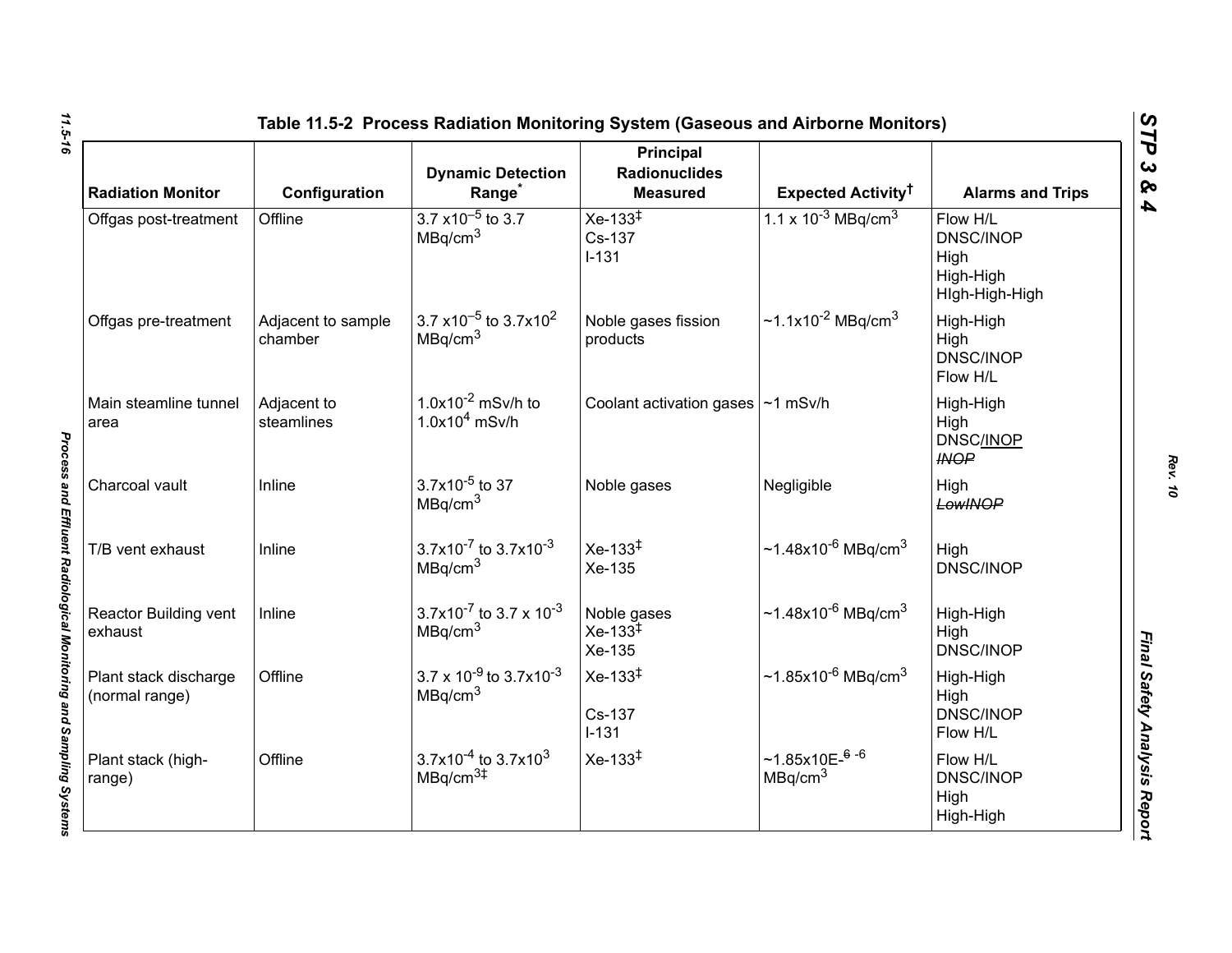| <b>Radiation Monitor</b>                | Configuration                 | <b>Dynamic Detection</b><br>Range <sup>*</sup>                                       | <b>Principal</b><br><b>Radionuclides</b><br><b>Measured</b> | Expected Activity <sup>†</sup>                     | <b>Alarms and Trips</b>                                             |
|-----------------------------------------|-------------------------------|--------------------------------------------------------------------------------------|-------------------------------------------------------------|----------------------------------------------------|---------------------------------------------------------------------|
| Offgas post-treatment                   | Offline                       | $3.7 \times 10^{-5}$ to 3.7<br>MBq/cm <sup>3</sup>                                   | $Xe-133^{\ddagger}$<br>Cs-137<br>$I-131$                    | 1.1 x $10^{-3}$ MBq/cm <sup>3</sup>                | Flow H/L<br><b>DNSC/INOP</b><br>High<br>High-High<br>High-High-High |
| Offgas pre-treatment                    | Adjacent to sample<br>chamber | 3.7 $\times$ 10 <sup>-5</sup> to 3.7 $\times$ 10 <sup>2</sup><br>MBq/cm <sup>3</sup> | Noble gases fission<br>products                             | ~1.1x10 <sup>-2</sup> MBq/cm <sup>3</sup>          | High-High<br>High<br><b>DNSC/INOP</b><br>Flow H/L                   |
| Main steamline tunnel<br>area           | Adjacent to<br>steamlines     | $1.0x10^{-2}$ mSv/h to<br>$1.0x104$ mSv/h                                            | Coolant activation gases   ~1 mSv/h                         |                                                    | High-High<br>High<br><b>DNSC/INOP</b><br><b>INOP</b>                |
| Charcoal vault                          | Inline                        | $3.7x10^{-5}$ to 37<br>MBq/cm <sup>3</sup>                                           | Noble gases                                                 | Negligible                                         | High<br>LowINOP                                                     |
| T/B vent exhaust                        | Inline                        | 3.7x10 <sup>-7</sup> to 3.7x10 <sup>-3</sup><br>MBq/cm <sup>3</sup>                  | $Xe-133^{1}$<br>Xe-135                                      | $~1.48x10^{-6}$ MBg/cm <sup>3</sup>                | High<br><b>DNSC/INOP</b>                                            |
| Reactor Building vent<br>exhaust        | Inline                        | 3.7x10 <sup>-7</sup> to 3.7 x 10 <sup>-3</sup><br>MBq/cm <sup>3</sup>                | Noble gases<br>$Xe-133^{\frac{1}{4}}$<br>Xe-135             | ~1.48x10 <sup>-6</sup> MBq/cm <sup>3</sup>         | High-High<br>High<br><b>DNSC/INOP</b>                               |
| Plant stack discharge<br>(normal range) | Offline                       | $3.7 \times 10^{-9}$ to $3.7 \times 10^{-3}$<br>MBq/cm <sup>3</sup>                  | $Xe-133^{\ddagger}$<br>Cs-137<br>$I-131$                    | ~1.85x10 <sup>-6</sup> MBq/cm <sup>3</sup>         | High-High<br>High<br><b>DNSC/INOP</b><br>Flow H/L                   |
| Plant stack (high-<br>range)            | Offline                       | $3.7x10^{-4}$ to 3.7x10 <sup>3</sup><br>MBq/cm <sup>3#</sup>                         | $Xe-133^{\ddagger}$                                         | $~1.85x10E-$ <sup>6-6</sup><br>MBq/cm <sup>3</sup> | Flow H/L<br><b>DNSC/INOP</b><br>High<br>High-High                   |

*Rev. 10*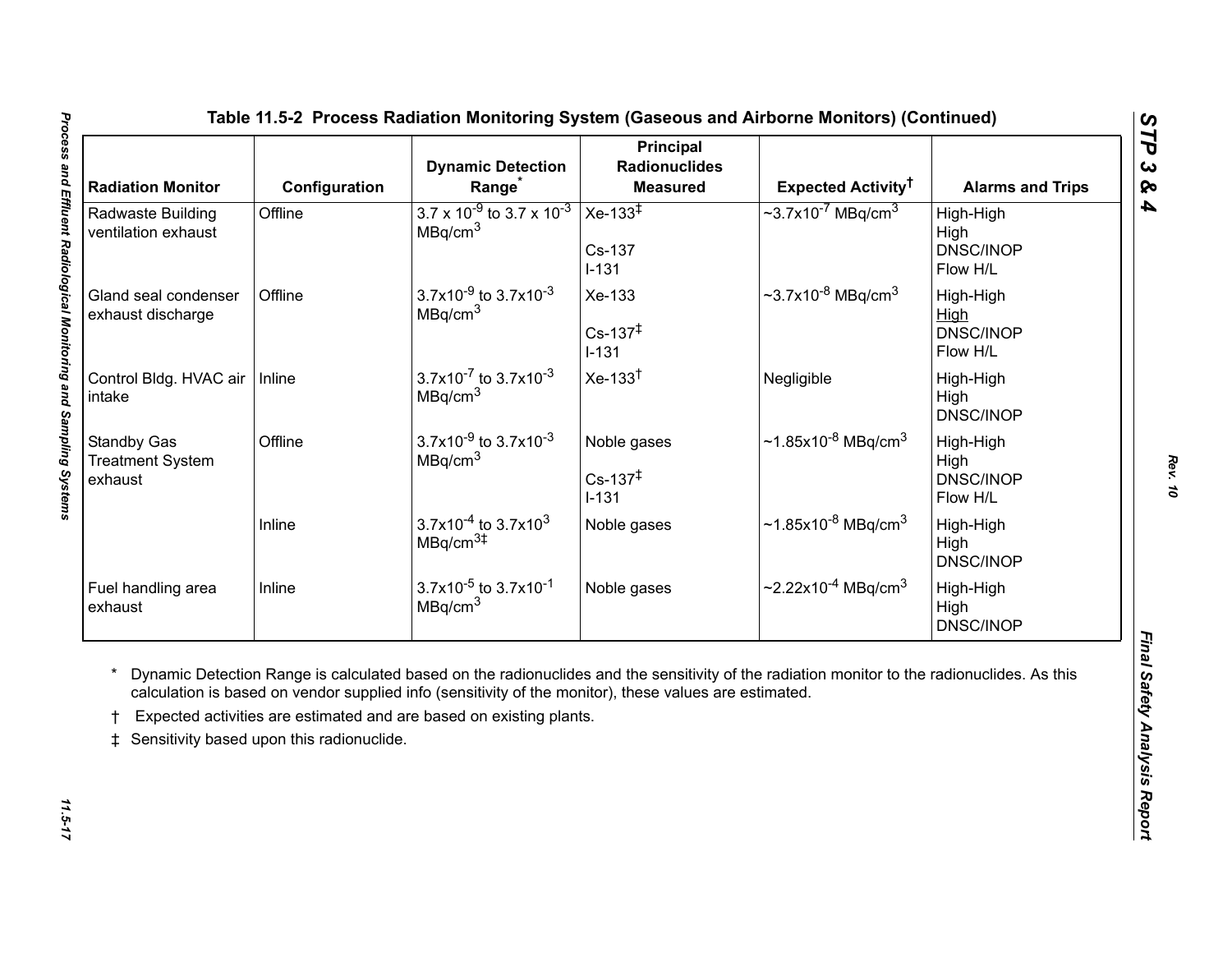<span id="page-16-0"></span>

| <b>Radiation Monitor</b>                                 | Configuration                             | <b>Dynamic Detection</b><br>Range <sup>*</sup>                                                                                                                                | <b>Principal</b><br><b>Radionuclides</b><br><b>Measured</b> | Expected Activity <sup>†</sup>                                                                                                              | <b>Alarms and Trips</b>                    |
|----------------------------------------------------------|-------------------------------------------|-------------------------------------------------------------------------------------------------------------------------------------------------------------------------------|-------------------------------------------------------------|---------------------------------------------------------------------------------------------------------------------------------------------|--------------------------------------------|
| Radwaste Building<br>ventilation exhaust                 | Offline                                   | $3.7 \times 10^{-9}$ to 3.7 x 10 <sup>-3</sup><br>MBq/cm <sup>3</sup>                                                                                                         | Xe-133 $\overline{+}$<br>Cs-137<br>$I-131$                  | $\sim$ 3.7x10 <sup>-7</sup> MBq/cm <sup>3</sup>                                                                                             | High-High<br>High<br>DNSC/INOP<br>Flow H/L |
| Gland seal condenser<br>exhaust discharge                | Offline                                   | 3.7x10 <sup>-9</sup> to 3.7x10 <sup>-3</sup><br>MBq/cm <sup>3</sup>                                                                                                           | Xe-133<br>$Cs - 137^{\ddagger}$<br>$I-131$                  | $\sim$ 3.7x10 <sup>-8</sup> MBq/cm <sup>3</sup>                                                                                             | High-High<br>High<br>DNSC/INOP<br>Flow H/L |
| Control Bldg. HVAC air<br>intake                         | Inline                                    | $3.7x10^{-7}$ to $3.7x10^{-3}$<br>MBq/cm <sup>3</sup>                                                                                                                         | $Xe-133†$                                                   | Negligible                                                                                                                                  | High-High<br>High<br>DNSC/INOP             |
| <b>Standby Gas</b><br><b>Treatment System</b><br>exhaust | Offline                                   | $3.7x10^{-9}$ to $3.7x10^{-3}$<br>MBq/cm <sup>3</sup>                                                                                                                         | Noble gases<br>$Cs - 137^{\ddagger}$<br>$I-131$             | $\sim$ 1.85x10 <sup>-8</sup> MBq/cm <sup>3</sup>                                                                                            | High-High<br>High<br>DNSC/INOP<br>Flow H/L |
|                                                          | Inline                                    | $3.7x10^{-4}$ to 3.7x10 <sup>3</sup><br>MBq/cm <sup>3#</sup>                                                                                                                  | Noble gases                                                 | $\sim$ 1.85x10 <sup>-8</sup> MBq/cm <sup>3</sup>                                                                                            | High-High<br>High<br>DNSC/INOP             |
| Fuel handling area<br>exhaust                            | Inline                                    | $3.7x10^{-5}$ to $3.7x10^{-1}$<br>MBq/cm <sup>3</sup>                                                                                                                         | Noble gases                                                 | $\sim$ 2.22x10 <sup>-4</sup> MBq/cm <sup>3</sup>                                                                                            | High-High<br>High<br>DNSC/INOP             |
| $\ddagger$                                               | Sensitivity based upon this radionuclide. | calculation is based on vendor supplied info (sensitivity of the monitor), these values are estimated.<br>Expected activities are estimated and are based on existing plants. |                                                             | Dynamic Detection Range is calculated based on the radionuclides and the sensitivity of the radiation monitor to the radionuclides. As this |                                            |